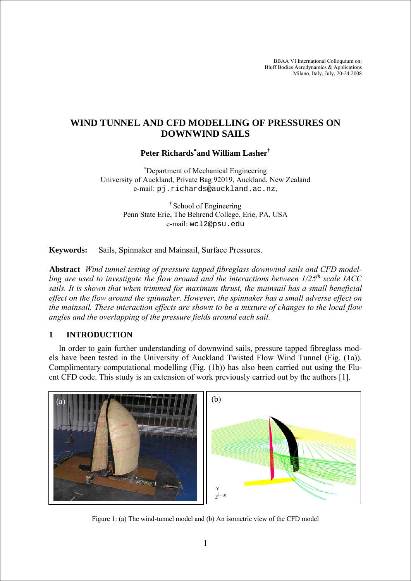BBAA VI International Colloquium on: Bluff Bodies Aerodynamics & Applications Milano, Italy, July, 20-24 2008

# **WIND TUNNEL AND CFD MODELLING OF PRESSURES ON DOWNWIND SAILS**

# **Peter Richards**<sup>∗</sup> **and William Lasher†**

∗ Department of Mechanical Engineering University of Auckland, Private Bag 92019, Auckland, New Zealand e-mail: pj.richards@auckland.ac.nz,

> † School of Engineering Penn State Erie, The Behrend College, Erie, PA, USA e-mail: wcl2@psu.edu

**Keywords:** Sails, Spinnaker and Mainsail, Surface Pressures.

**Abstract** *Wind tunnel testing of pressure tapped fibreglass downwind sails and CFD modelling are used to investigate the flow around and the interactions between 1/25th scale IACC sails. It is shown that when trimmed for maximum thrust, the mainsail has a small beneficial effect on the flow around the spinnaker. However, the spinnaker has a small adverse effect on the mainsail. These interaction effects are shown to be a mixture of changes to the local flow angles and the overlapping of the pressure fields around each sail.*

### **1 INTRODUCTION**

In order to gain further understanding of downwind sails, pressure tapped fibreglass models have been tested in the University of Auckland Twisted Flow Wind Tunnel (Fig. (1a)). Complimentary computational modelling (Fig. (1b)) has also been carried out using the Fluent CFD code. This study is an extension of work previously carried out by the authors [1].



Figure 1: (a) The wind-tunnel model and (b) An isometric view of the CFD model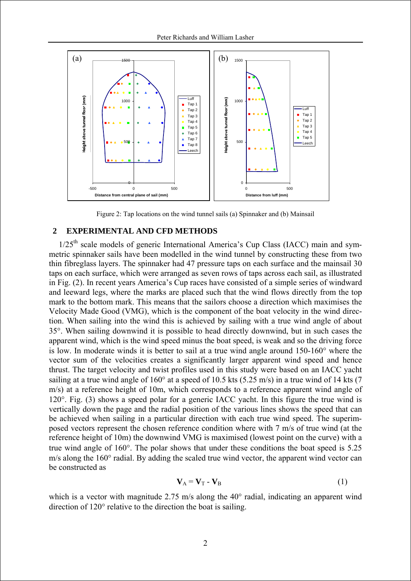

Figure 2: Tap locations on the wind tunnel sails (a) Spinnaker and (b) Mainsail

### **2 EXPERIMENTAL AND CFD METHODS**

1/25<sup>th</sup> scale models of generic International America's Cup Class (IACC) main and symmetric spinnaker sails have been modelled in the wind tunnel by constructing these from two thin fibreglass layers. The spinnaker had 47 pressure taps on each surface and the mainsail 30 taps on each surface, which were arranged as seven rows of taps across each sail, as illustrated in Fig. (2). In recent years America's Cup races have consisted of a simple series of windward and leeward legs, where the marks are placed such that the wind flows directly from the top mark to the bottom mark. This means that the sailors choose a direction which maximises the Velocity Made Good (VMG), which is the component of the boat velocity in the wind direction. When sailing into the wind this is achieved by sailing with a true wind angle of about 35°. When sailing downwind it is possible to head directly downwind, but in such cases the apparent wind, which is the wind speed minus the boat speed, is weak and so the driving force is low. In moderate winds it is better to sail at a true wind angle around 150-160° where the vector sum of the velocities creates a significantly larger apparent wind speed and hence thrust. The target velocity and twist profiles used in this study were based on an IACC yacht sailing at a true wind angle of 160° at a speed of 10.5 kts (5.25 m/s) in a true wind of 14 kts (7 m/s) at a reference height of 10m, which corresponds to a reference apparent wind angle of 120°. Fig. (3) shows a speed polar for a generic IACC yacht. In this figure the true wind is vertically down the page and the radial position of the various lines shows the speed that can be achieved when sailing in a particular direction with each true wind speed. The superimposed vectors represent the chosen reference condition where with 7 m/s of true wind (at the reference height of 10m) the downwind VMG is maximised (lowest point on the curve) with a true wind angle of 160°. The polar shows that under these conditions the boat speed is 5.25 m/s along the 160° radial. By adding the scaled true wind vector, the apparent wind vector can be constructed as

$$
\mathbf{V}_{\mathbf{A}} = \mathbf{V}_{\mathbf{T}} - \mathbf{V}_{\mathbf{B}} \tag{1}
$$

which is a vector with magnitude 2.75 m/s along the 40° radial, indicating an apparent wind direction of 120° relative to the direction the boat is sailing.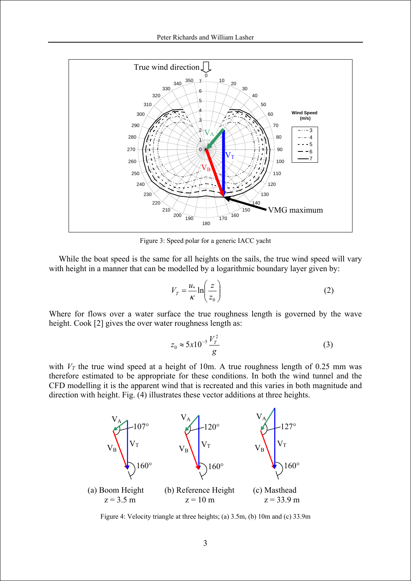

Figure 3: Speed polar for a generic IACC yacht

While the boat speed is the same for all heights on the sails, the true wind speed will vary with height in a manner that can be modelled by a logarithmic boundary layer given by:

$$
V_T = \frac{u_*}{\kappa} \ln \left( \frac{z}{z_0} \right) \tag{2}
$$

Where for flows over a water surface the true roughness length is governed by the wave height. Cook [2] gives the over water roughness length as:

$$
z_0 \approx 5x10^{-5} \frac{V_T^2}{g}
$$
 (3)

with  $V_T$  the true wind speed at a height of 10m. A true roughness length of 0.25 mm was therefore estimated to be appropriate for these conditions. In both the wind tunnel and the CFD modelling it is the apparent wind that is recreated and this varies in both magnitude and direction with height. Fig. (4) illustrates these vector additions at three heights.



Figure 4: Velocity triangle at three heights; (a) 3.5m, (b) 10m and (c) 33.9m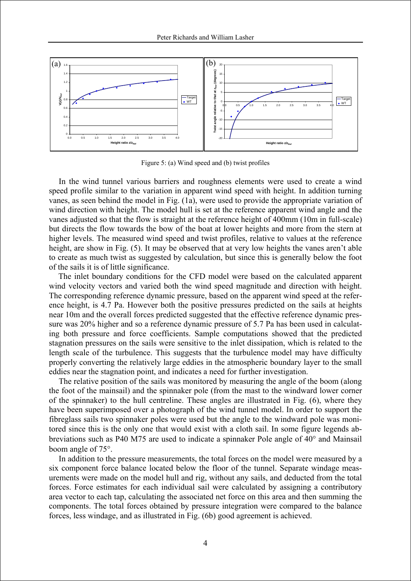

Figure 5: (a) Wind speed and (b) twist profiles

In the wind tunnel various barriers and roughness elements were used to create a wind speed profile similar to the variation in apparent wind speed with height. In addition turning vanes, as seen behind the model in Fig. (1a), were used to provide the appropriate variation of wind direction with height. The model hull is set at the reference apparent wind angle and the vanes adjusted so that the flow is straight at the reference height of 400mm (10m in full-scale) but directs the flow towards the bow of the boat at lower heights and more from the stern at higher levels. The measured wind speed and twist profiles, relative to values at the reference height, are show in Fig. (5). It may be observed that at very low heights the vanes aren't able to create as much twist as suggested by calculation, but since this is generally below the foot of the sails it is of little significance.

The inlet boundary conditions for the CFD model were based on the calculated apparent wind velocity vectors and varied both the wind speed magnitude and direction with height. The corresponding reference dynamic pressure, based on the apparent wind speed at the reference height, is 4.7 Pa. However both the positive pressures predicted on the sails at heights near 10m and the overall forces predicted suggested that the effective reference dynamic pressure was 20% higher and so a reference dynamic pressure of 5.7 Pa has been used in calculating both pressure and force coefficients. Sample computations showed that the predicted stagnation pressures on the sails were sensitive to the inlet dissipation, which is related to the length scale of the turbulence. This suggests that the turbulence model may have difficulty properly converting the relatively large eddies in the atmospheric boundary layer to the small eddies near the stagnation point, and indicates a need for further investigation.

The relative position of the sails was monitored by measuring the angle of the boom (along the foot of the mainsail) and the spinnaker pole (from the mast to the windward lower corner of the spinnaker) to the hull centreline. These angles are illustrated in Fig. (6), where they have been superimposed over a photograph of the wind tunnel model. In order to support the fibreglass sails two spinnaker poles were used but the angle to the windward pole was monitored since this is the only one that would exist with a cloth sail. In some figure legends abbreviations such as P40 M75 are used to indicate a spinnaker Pole angle of 40° and Mainsail boom angle of 75°.

In addition to the pressure measurements, the total forces on the model were measured by a six component force balance located below the floor of the tunnel. Separate windage measurements were made on the model hull and rig, without any sails, and deducted from the total forces. Force estimates for each individual sail were calculated by assigning a contributory area vector to each tap, calculating the associated net force on this area and then summing the components. The total forces obtained by pressure integration were compared to the balance forces, less windage, and as illustrated in Fig. (6b) good agreement is achieved.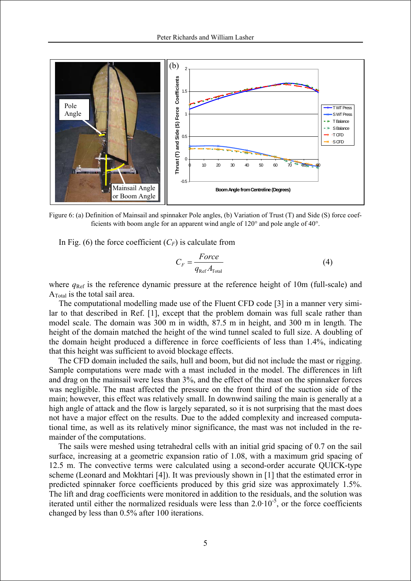

Figure 6: (a) Definition of Mainsail and spinnaker Pole angles, (b) Variation of Trust (T) and Side (S) force coefficients with boom angle for an apparent wind angle of 120° and pole angle of 40°.

In Fig. (6) the force coefficient  $(C_F)$  is calculate from

$$
C_F = \frac{Force}{q_{\text{Ref}} A_{\text{Total}}}
$$
 (4)

where  $q_{\text{Ref}}$  is the reference dynamic pressure at the reference height of 10m (full-scale) and ATotal is the total sail area.

The computational modelling made use of the Fluent CFD code [3] in a manner very similar to that described in Ref. [1], except that the problem domain was full scale rather than model scale. The domain was 300 m in width, 87.5 m in height, and 300 m in length. The height of the domain matched the height of the wind tunnel scaled to full size. A doubling of the domain height produced a difference in force coefficients of less than 1.4%, indicating that this height was sufficient to avoid blockage effects.

The CFD domain included the sails, hull and boom, but did not include the mast or rigging. Sample computations were made with a mast included in the model. The differences in lift and drag on the mainsail were less than 3%, and the effect of the mast on the spinnaker forces was negligible. The mast affected the pressure on the front third of the suction side of the main; however, this effect was relatively small. In downwind sailing the main is generally at a high angle of attack and the flow is largely separated, so it is not surprising that the mast does not have a major effect on the results. Due to the added complexity and increased computational time, as well as its relatively minor significance, the mast was not included in the remainder of the computations.

The sails were meshed using tetrahedral cells with an initial grid spacing of 0.7 on the sail surface, increasing at a geometric expansion ratio of 1.08, with a maximum grid spacing of 12.5 m. The convective terms were calculated using a second-order accurate QUICK-type scheme (Leonard and Mokhtari [4]). It was previously shown in [1] that the estimated error in predicted spinnaker force coefficients produced by this grid size was approximately 1.5%. The lift and drag coefficients were monitored in addition to the residuals, and the solution was iterated until either the normalized residuals were less than  $2.0 \cdot 10^{-5}$ , or the force coefficients changed by less than 0.5% after 100 iterations.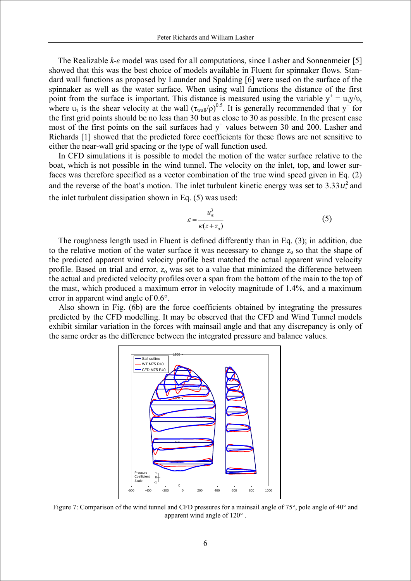The Realizable *k-ε* model was used for all computations, since Lasher and Sonnenmeier [5] showed that this was the best choice of models available in Fluent for spinnaker flows. Standard wall functions as proposed by Launder and Spalding [6] were used on the surface of the spinnaker as well as the water surface. When using wall functions the distance of the first point from the surface is important. This distance is measured using the variable  $y^+ = u_\tau y/v$ , where  $u_{\tau}$  is the shear velocity at the wall  $(\tau_{\text{wall}}/\rho)^{0.5}$ . It is generally recommended that  $y^+$  for the first grid points should be no less than 30 but as close to 30 as possible. In the present case most of the first points on the sail surfaces had  $y^+$  values between 30 and 200. Lasher and Richards [1] showed that the predicted force coefficients for these flows are not sensitive to either the near-wall grid spacing or the type of wall function used.

In CFD simulations it is possible to model the motion of the water surface relative to the boat, which is not possible in the wind tunnel. The velocity on the inlet, top, and lower surfaces was therefore specified as a vector combination of the true wind speed given in Eq. (2) and the reverse of the boat's motion. The inlet turbulent kinetic energy was set to  $3.33 u<sup>2</sup>$  and the inlet turbulent dissipation shown in Eq. (5) was used:

$$
\varepsilon = \frac{u_*^3}{\kappa (z + z_o)}\tag{5}
$$

The roughness length used in Fluent is defined differently than in Eq. (3); in addition, due to the relative motion of the water surface it was necessary to change  $z_0$  so that the shape of the predicted apparent wind velocity profile best matched the actual apparent wind velocity profile. Based on trial and error,  $z_0$  was set to a value that minimized the difference between the actual and predicted velocity profiles over a span from the bottom of the main to the top of the mast, which produced a maximum error in velocity magnitude of 1.4%, and a maximum error in apparent wind angle of 0.6°.

Also shown in Fig. (6b) are the force coefficients obtained by integrating the pressures predicted by the CFD modelling. It may be observed that the CFD and Wind Tunnel models exhibit similar variation in the forces with mainsail angle and that any discrepancy is only of the same order as the difference between the integrated pressure and balance values.



Figure 7: Comparison of the wind tunnel and CFD pressures for a mainsail angle of 75°, pole angle of 40° and apparent wind angle of 120° .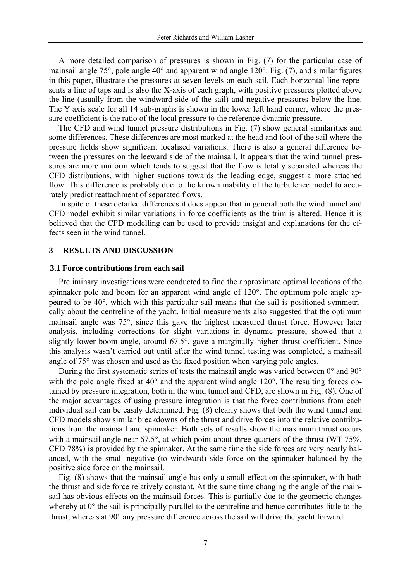A more detailed comparison of pressures is shown in Fig. (7) for the particular case of mainsail angle 75°, pole angle 40° and apparent wind angle 120°. Fig. (7), and similar figures in this paper, illustrate the pressures at seven levels on each sail. Each horizontal line represents a line of taps and is also the X-axis of each graph, with positive pressures plotted above the line (usually from the windward side of the sail) and negative pressures below the line. The Y axis scale for all 14 sub-graphs is shown in the lower left hand corner, where the pressure coefficient is the ratio of the local pressure to the reference dynamic pressure.

The CFD and wind tunnel pressure distributions in Fig. (7) show general similarities and some differences. These differences are most marked at the head and foot of the sail where the pressure fields show significant localised variations. There is also a general difference between the pressures on the leeward side of the mainsail. It appears that the wind tunnel pressures are more uniform which tends to suggest that the flow is totally separated whereas the CFD distributions, with higher suctions towards the leading edge, suggest a more attached flow. This difference is probably due to the known inability of the turbulence model to accurately predict reattachment of separated flows.

In spite of these detailed differences it does appear that in general both the wind tunnel and CFD model exhibit similar variations in force coefficients as the trim is altered. Hence it is believed that the CFD modelling can be used to provide insight and explanations for the effects seen in the wind tunnel.

#### **3 RESULTS AND DISCUSSION**

#### **3.1 Force contributions from each sail**

Preliminary investigations were conducted to find the approximate optimal locations of the spinnaker pole and boom for an apparent wind angle of 120°. The optimum pole angle appeared to be 40°, which with this particular sail means that the sail is positioned symmetrically about the centreline of the yacht. Initial measurements also suggested that the optimum mainsail angle was 75°, since this gave the highest measured thrust force. However later analysis, including corrections for slight variations in dynamic pressure, showed that a slightly lower boom angle, around 67.5°, gave a marginally higher thrust coefficient. Since this analysis wasn't carried out until after the wind tunnel testing was completed, a mainsail angle of 75° was chosen and used as the fixed position when varying pole angles.

During the first systematic series of tests the mainsail angle was varied between 0° and 90° with the pole angle fixed at 40° and the apparent wind angle 120°. The resulting forces obtained by pressure integration, both in the wind tunnel and CFD, are shown in Fig. (8). One of the major advantages of using pressure integration is that the force contributions from each individual sail can be easily determined. Fig. (8) clearly shows that both the wind tunnel and CFD models show similar breakdowns of the thrust and drive forces into the relative contributions from the mainsail and spinnaker. Both sets of results show the maximum thrust occurs with a mainsail angle near 67.5°, at which point about three-quarters of the thrust (WT 75%, CFD 78%) is provided by the spinnaker. At the same time the side forces are very nearly balanced, with the small negative (to windward) side force on the spinnaker balanced by the positive side force on the mainsail.

Fig. (8) shows that the mainsail angle has only a small effect on the spinnaker, with both the thrust and side force relatively constant. At the same time changing the angle of the mainsail has obvious effects on the mainsail forces. This is partially due to the geometric changes whereby at  $0^{\circ}$  the sail is principally parallel to the centreline and hence contributes little to the thrust, whereas at 90° any pressure difference across the sail will drive the yacht forward.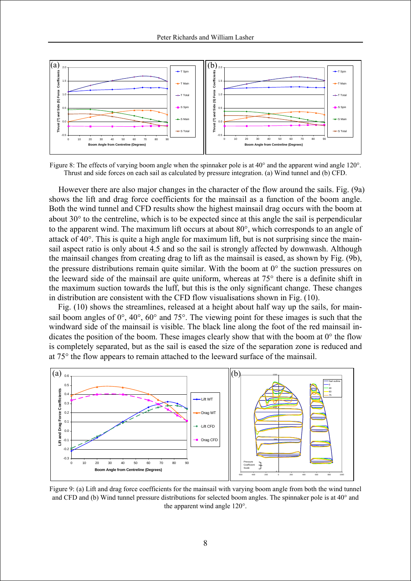

Figure 8: The effects of varying boom angle when the spinnaker pole is at 40° and the apparent wind angle 120°. Thrust and side forces on each sail as calculated by pressure integration. (a) Wind tunnel and (b) CFD.

However there are also major changes in the character of the flow around the sails. Fig. (9a) shows the lift and drag force coefficients for the mainsail as a function of the boom angle. Both the wind tunnel and CFD results show the highest mainsail drag occurs with the boom at about 30° to the centreline, which is to be expected since at this angle the sail is perpendicular to the apparent wind. The maximum lift occurs at about 80°, which corresponds to an angle of attack of 40°. This is quite a high angle for maximum lift, but is not surprising since the mainsail aspect ratio is only about 4.5 and so the sail is strongly affected by downwash. Although the mainsail changes from creating drag to lift as the mainsail is eased, as shown by Fig. (9b), the pressure distributions remain quite similar. With the boom at  $0^{\circ}$  the suction pressures on the leeward side of the mainsail are quite uniform, whereas at  $75^{\circ}$  there is a definite shift in the maximum suction towards the luff, but this is the only significant change. These changes in distribution are consistent with the CFD flow visualisations shown in Fig. (10).

Fig. (10) shows the streamlines, released at a height about half way up the sails, for mainsail boom angles of 0°, 40°, 60° and 75°. The viewing point for these images is such that the windward side of the mainsail is visible. The black line along the foot of the red mainsail indicates the position of the boom. These images clearly show that with the boom at  $0^{\circ}$  the flow is completely separated, but as the sail is eased the size of the separation zone is reduced and at 75° the flow appears to remain attached to the leeward surface of the mainsail.



Figure 9: (a) Lift and drag force coefficients for the mainsail with varying boom angle from both the wind tunnel and CFD and (b) Wind tunnel pressure distributions for selected boom angles. The spinnaker pole is at 40° and the apparent wind angle 120°.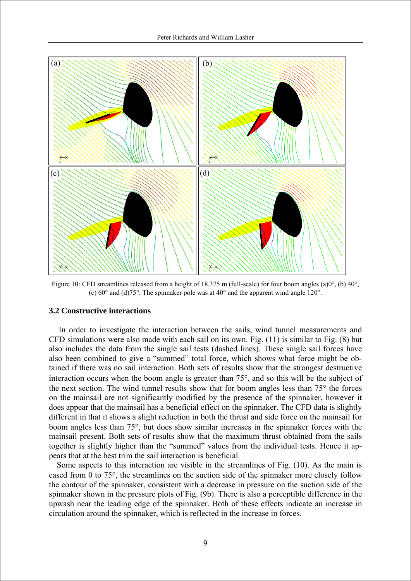

Figure 10: CFD streamlines released from a height of 18.375 m (full-scale) for four boom angles (a) $0^{\circ}$ , (b)  $40^{\circ}$ , (c) 60° and (d)75°. The spinnaker pole was at 40° and the apparent wind angle 120°.

#### **3.2 Constructive interactions**

In order to investigate the interaction between the sails, wind tunnel measurements and CFD simulations were also made with each sail on its own. Fig. (11) is similar to Fig. (8) but also includes the data from the single sail tests (dashed lines). These single sail forces have also been combined to give a "summed" total force, which shows what force might be obtained if there was no sail interaction. Both sets of results show that the strongest destructive interaction occurs when the boom angle is greater than 75°, and so this will be the subject of the next section. The wind tunnel results show that for boom angles less than 75° the forces on the mainsail are not significantly modified by the presence of the spinnaker, however it does appear that the mainsail has a beneficial effect on the spinnaker. The CFD data is slightly different in that it shows a slight reduction in both the thrust and side force on the mainsail for boom angles less than 75°, but does show similar increases in the spinnaker forces with the mainsail present. Both sets of results show that the maximum thrust obtained from the sails together is slightly higher than the "summed" values from the individual tests. Hence it appears that at the best trim the sail interaction is beneficial.

Some aspects to this interaction are visible in the streamlines of Fig. (10). As the main is eased from 0 to 75°, the streamlines on the suction side of the spinnaker more closely follow the contour of the spinnaker, consistent with a decrease in pressure on the suction side of the spinnaker shown in the pressure plots of Fig. (9b). There is also a perceptible difference in the upwash near the leading edge of the spinnaker. Both of these effects indicate an increase in circulation around the spinnaker, which is reflected in the increase in forces.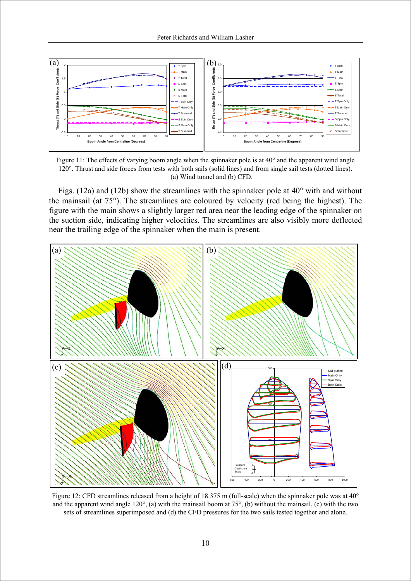

Figure 11: The effects of varying boom angle when the spinnaker pole is at 40° and the apparent wind angle 120°. Thrust and side forces from tests with both sails (solid lines) and from single sail tests (dotted lines). (a) Wind tunnel and (b) CFD.

Figs. (12a) and (12b) show the streamlines with the spinnaker pole at 40° with and without the mainsail (at 75°). The streamlines are coloured by velocity (red being the highest). The figure with the main shows a slightly larger red area near the leading edge of the spinnaker on the suction side, indicating higher velocities. The streamlines are also visibly more deflected near the trailing edge of the spinnaker when the main is present.



Figure 12: CFD streamlines released from a height of 18.375 m (full-scale) when the spinnaker pole was at 40° and the apparent wind angle 120°, (a) with the mainsail boom at 75°, (b) without the mainsail, (c) with the two sets of streamlines superimposed and (d) the CFD pressures for the two sails tested together and alone.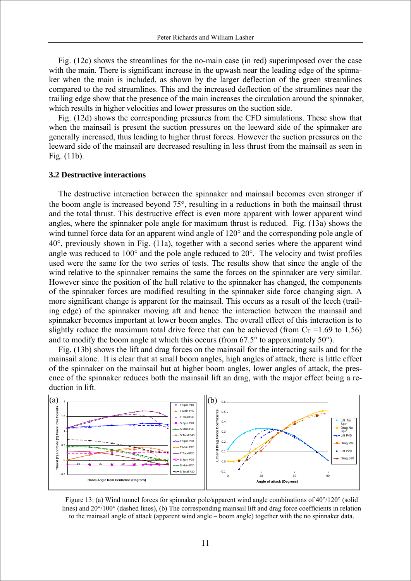Fig. (12c) shows the streamlines for the no-main case (in red) superimposed over the case with the main. There is significant increase in the upwash near the leading edge of the spinnaker when the main is included, as shown by the larger deflection of the green streamlines compared to the red streamlines. This and the increased deflection of the streamlines near the trailing edge show that the presence of the main increases the circulation around the spinnaker, which results in higher velocities and lower pressures on the suction side.

Fig. (12d) shows the corresponding pressures from the CFD simulations. These show that when the mainsail is present the suction pressures on the leeward side of the spinnaker are generally increased, thus leading to higher thrust forces. However the suction pressures on the leeward side of the mainsail are decreased resulting in less thrust from the mainsail as seen in Fig. (11b).

#### **3.2 Destructive interactions**

The destructive interaction between the spinnaker and mainsail becomes even stronger if the boom angle is increased beyond 75°, resulting in a reductions in both the mainsail thrust and the total thrust. This destructive effect is even more apparent with lower apparent wind angles, where the spinnaker pole angle for maximum thrust is reduced. Fig. (13a) shows the wind tunnel force data for an apparent wind angle of 120° and the corresponding pole angle of 40°, previously shown in Fig. (11a), together with a second series where the apparent wind angle was reduced to  $100^{\circ}$  and the pole angle reduced to  $20^{\circ}$ . The velocity and twist profiles used were the same for the two series of tests. The results show that since the angle of the wind relative to the spinnaker remains the same the forces on the spinnaker are very similar. However since the position of the hull relative to the spinnaker has changed, the components of the spinnaker forces are modified resulting in the spinnaker side force changing sign. A more significant change is apparent for the mainsail. This occurs as a result of the leech (trailing edge) of the spinnaker moving aft and hence the interaction between the mainsail and spinnaker becomes important at lower boom angles. The overall effect of this interaction is to slightly reduce the maximum total drive force that can be achieved (from  $C_T = 1.69$  to 1.56) and to modify the boom angle at which this occurs (from  $67.5^{\circ}$  to approximately  $50^{\circ}$ ).

Fig. (13b) shows the lift and drag forces on the mainsail for the interacting sails and for the mainsail alone. It is clear that at small boom angles, high angles of attack, there is little effect of the spinnaker on the mainsail but at higher boom angles, lower angles of attack, the presence of the spinnaker reduces both the mainsail lift an drag, with the major effect being a reduction in lift.



Figure 13: (a) Wind tunnel forces for spinnaker pole/apparent wind angle combinations of 40°/120° (solid lines) and 20°/100° (dashed lines), (b) The corresponding mainsail lift and drag force coefficients in relation to the mainsail angle of attack (apparent wind angle – boom angle) together with the no spinnaker data.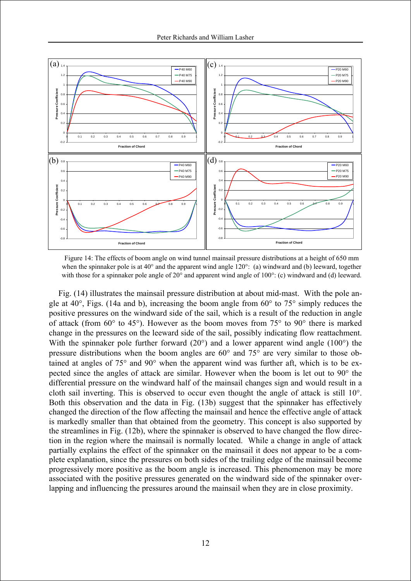

Figure 14: The effects of boom angle on wind tunnel mainsail pressure distributions at a height of 650 mm when the spinnaker pole is at 40° and the apparent wind angle 120°: (a) windward and (b) leeward, together with those for a spinnaker pole angle of 20° and apparent wind angle of 100°: (c) windward and (d) leeward.

Fig. (14) illustrates the mainsail pressure distribution at about mid-mast. With the pole angle at  $40^{\circ}$ , Figs. (14a and b), increasing the boom angle from  $60^{\circ}$  to  $75^{\circ}$  simply reduces the positive pressures on the windward side of the sail, which is a result of the reduction in angle of attack (from 60° to 45°). However as the boom moves from 75° to 90° there is marked change in the pressures on the leeward side of the sail, possibly indicating flow reattachment. With the spinnaker pole further forward (20°) and a lower apparent wind angle (100°) the pressure distributions when the boom angles are 60° and 75° are very similar to those obtained at angles of 75° and 90° when the apparent wind was further aft, which is to be expected since the angles of attack are similar. However when the boom is let out to 90° the differential pressure on the windward half of the mainsail changes sign and would result in a cloth sail inverting. This is observed to occur even thought the angle of attack is still 10°. Both this observation and the data in Fig. (13b) suggest that the spinnaker has effectively changed the direction of the flow affecting the mainsail and hence the effective angle of attack is markedly smaller than that obtained from the geometry. This concept is also supported by the streamlines in Fig. (12b), where the spinnaker is observed to have changed the flow direction in the region where the mainsail is normally located. While a change in angle of attack partially explains the effect of the spinnaker on the mainsail it does not appear to be a complete explanation, since the pressures on both sides of the trailing edge of the mainsail become progressively more positive as the boom angle is increased. This phenomenon may be more associated with the positive pressures generated on the windward side of the spinnaker overlapping and influencing the pressures around the mainsail when they are in close proximity.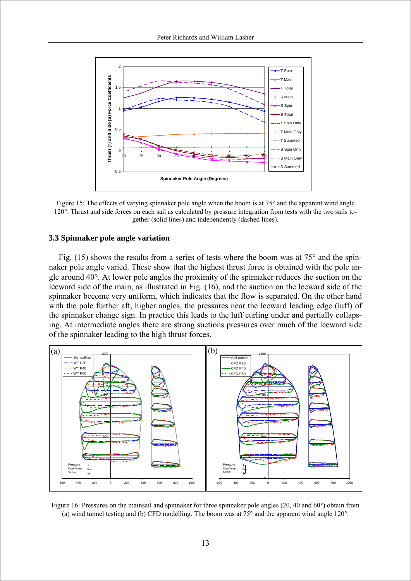

Figure 15: The effects of varying spinnaker pole angle when the boom is at 75° and the apparent wind angle 120°. Thrust and side forces on each sail as calculated by pressure integration from tests with the two sails together (solid lines) and independently (dashed lines).

### **3.3 Spinnaker pole angle variation**

Fig. (15) shows the results from a series of tests where the boom was at  $75^{\circ}$  and the spinnaker pole angle varied. These show that the highest thrust force is obtained with the pole angle around 40°. At lower pole angles the proximity of the spinnaker reduces the suction on the leeward side of the main, as illustrated in Fig. (16), and the suction on the leeward side of the spinnaker become very uniform, which indicates that the flow is separated. On the other hand with the pole further aft, higher angles, the pressures near the leeward leading edge (luff) of the spinnaker change sign. In practice this leads to the luff curling under and partially collapsing. At intermediate angles there are strong suctions pressures over much of the leeward side of the spinnaker leading to the high thrust forces.



Figure 16: Pressures on the mainsail and spinnaker for three spinnaker pole angles (20, 40 and 60°) obtain from (a) wind tunnel testing and (b) CFD modelling. The boom was at 75° and the apparent wind angle 120°.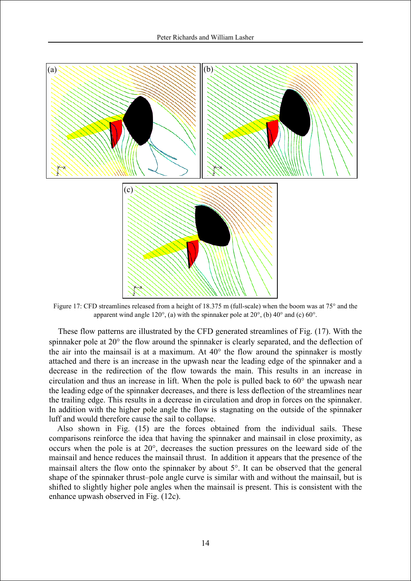

Figure 17: CFD streamlines released from a height of 18.375 m (full-scale) when the boom was at 75° and the apparent wind angle 120°, (a) with the spinnaker pole at 20°, (b) 40° and (c) 60°.

These flow patterns are illustrated by the CFD generated streamlines of Fig. (17). With the spinnaker pole at 20° the flow around the spinnaker is clearly separated, and the deflection of the air into the mainsail is at a maximum. At  $40^{\circ}$  the flow around the spinnaker is mostly attached and there is an increase in the upwash near the leading edge of the spinnaker and a decrease in the redirection of the flow towards the main. This results in an increase in circulation and thus an increase in lift. When the pole is pulled back to 60° the upwash near the leading edge of the spinnaker decreases, and there is less deflection of the streamlines near the trailing edge. This results in a decrease in circulation and drop in forces on the spinnaker. In addition with the higher pole angle the flow is stagnating on the outside of the spinnaker luff and would therefore cause the sail to collapse.

Also shown in Fig. (15) are the forces obtained from the individual sails. These comparisons reinforce the idea that having the spinnaker and mainsail in close proximity, as occurs when the pole is at 20°, decreases the suction pressures on the leeward side of the mainsail and hence reduces the mainsail thrust. In addition it appears that the presence of the mainsail alters the flow onto the spinnaker by about 5°. It can be observed that the general shape of the spinnaker thrust–pole angle curve is similar with and without the mainsail, but is shifted to slightly higher pole angles when the mainsail is present. This is consistent with the enhance upwash observed in Fig. (12c).